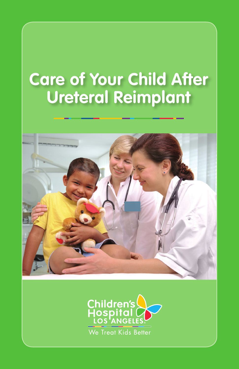# **Care of Your Child After Ureteral Reimplant**



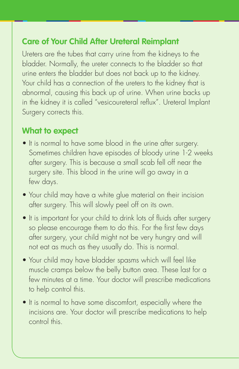#### **Care of Your Child After Ureteral Reimplant**

Ureters are the tubes that carry urine from the kidneys to the bladder. Normally, the ureter connects to the bladder so that urine enters the bladder but does not back up to the kidney. Your child has a connection of the ureters to the kidney that is abnormal, causing this back up of urine. When urine backs up in the kidney it is called "vesicoureteral reflux". Ureteral Implant Surgery corrects this.

#### **What to expect**

- It is normal to have some blood in the urine after surgery. Sometimes children have episodes of bloody urine 1-2 weeks after surgery. This is because a small scab fell off near the surgery site. This blood in the urine will go away in a few days.
- Your child may have a white glue material on their incision after surgery. This will slowly peel off on its own.
- It is important for your child to drink lots of fluids after surgery so please encourage them to do this. For the first few days after surgery, your child might not be very hungry and will not eat as much as they usually do. This is normal.
- Your child may have bladder spasms which will feel like muscle cramps below the belly button area. These last for a few minutes at a time. Your doctor will prescribe medications to help control this.
- It is normal to have some discomfort, especially where the incisions are. Your doctor will prescribe medications to help control this.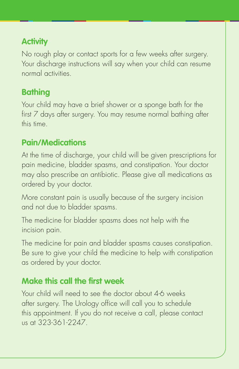# **Activity**

No rough play or contact sports for a few weeks after surgery. Your discharge instructions will say when your child can resume normal activities.

### **Bathing**

Your child may have a brief shower or a sponge bath for the first 7 days after surgery. You may resume normal bathing after this time.

### **Pain/Medications**

At the time of discharge, your child will be given prescriptions for pain medicine, bladder spasms, and constipation. Your doctor may also prescribe an antibiotic. Please give all medications as ordered by your doctor.

More constant pain is usually because of the surgery incision and not due to bladder spasms.

The medicine for bladder spasms does not help with the incision pain.

The medicine for pain and bladder spasms causes constipation. Be sure to give your child the medicine to help with constipation as ordered by your doctor.

### **Make this call the first week**

Your child will need to see the doctor about 4-6 weeks after surgery. The Urology office will call you to schedule this appointment. If you do not receive a call, please contact us at 323-361-2247.